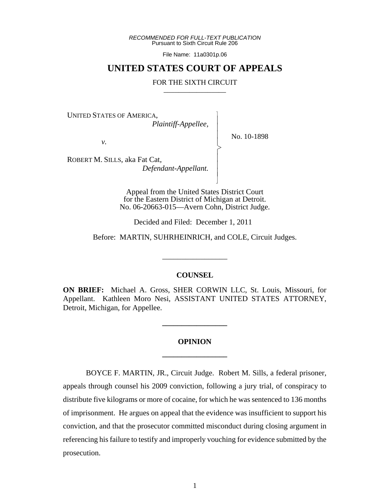*RECOMMENDED FOR FULL-TEXT PUBLICATION* Pursuant to Sixth Circuit Rule 206

File Name: 11a0301p.06

## **UNITED STATES COURT OF APPEALS**

## FOR THE SIXTH CIRCUIT

 $\overline{\phantom{a}}$ - - - > , - - - N

UNITED STATES OF AMERICA,

 *Plaintiff-Appellee,*

No. 10-1898

*v.*

ROBERT M. SILLS, aka Fat Cat,  *Defendant-Appellant.*

> Appeal from the United States District Court for the Eastern District of Michigan at Detroit. No. 06-20663-015—Avern Cohn, District Judge.

Decided and Filed: December 1, 2011

Before: MARTIN, SUHRHEINRICH, and COLE, Circuit Judges.

\_\_\_\_\_\_\_\_\_\_\_\_\_\_\_\_\_

## **COUNSEL**

**ON BRIEF:** Michael A. Gross, SHER CORWIN LLC, St. Louis, Missouri, for Appellant. Kathleen Moro Nesi, ASSISTANT UNITED STATES ATTORNEY, Detroit, Michigan, for Appellee.

## **OPINION \_\_\_\_\_\_\_\_\_\_\_\_\_\_\_\_\_**

**\_\_\_\_\_\_\_\_\_\_\_\_\_\_\_\_\_**

BOYCE F. MARTIN, JR., Circuit Judge. Robert M. Sills, a federal prisoner, appeals through counsel his 2009 conviction, following a jury trial, of conspiracy to distribute five kilograms or more of cocaine, for which he was sentenced to 136 months of imprisonment. He argues on appeal that the evidence was insufficient to support his conviction, and that the prosecutor committed misconduct during closing argument in referencing his failure to testify and improperly vouching for evidence submitted by the prosecution.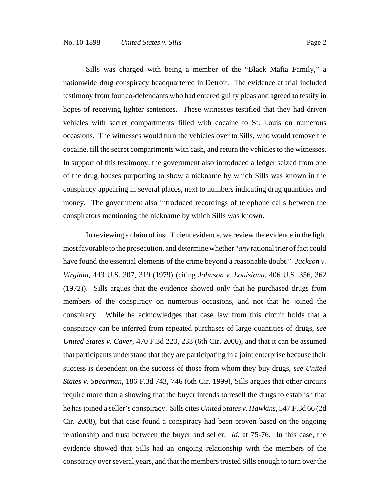Sills was charged with being a member of the "Black Mafia Family," a nationwide drug conspiracy headquartered in Detroit. The evidence at trial included testimony from four co-defendants who had entered guilty pleas and agreed to testify in hopes of receiving lighter sentences. These witnesses testified that they had driven vehicles with secret compartments filled with cocaine to St. Louis on numerous occasions. The witnesses would turn the vehicles over to Sills, who would remove the cocaine, fill the secret compartments with cash, and return the vehicles to the witnesses. In support of this testimony, the government also introduced a ledger seized from one of the drug houses purporting to show a nickname by which Sills was known in the conspiracy appearing in several places, next to numbers indicating drug quantities and money. The government also introduced recordings of telephone calls between the conspirators mentioning the nickname by which Sills was known.

In reviewing a claim of insufficient evidence, we review the evidence in the light most favorable to the prosecution, and determine whether "*any* rational trier of fact could have found the essential elements of the crime beyond a reasonable doubt." *Jackson v. Virginia*, 443 U.S. 307, 319 (1979) (citing *Johnson v. Louisiana*, 406 U.S. 356, 362 (1972)). Sills argues that the evidence showed only that he purchased drugs from members of the conspiracy on numerous occasions, and not that he joined the conspiracy. While he acknowledges that case law from this circuit holds that a conspiracy can be inferred from repeated purchases of large quantities of drugs, *see United States v. Caver*, 470 F.3d 220, 233 (6th Cir. 2006), and that it can be assumed that participants understand that they are participating in a joint enterprise because their success is dependent on the success of those from whom they buy drugs, *see United States v. Spearman*, 186 F.3d 743, 746 (6th Cir. 1999), Sills argues that other circuits require more than a showing that the buyer intends to resell the drugs to establish that he has joined a seller's conspiracy. Sills cites *United States v. Hawkins*, 547 F.3d 66 (2d Cir. 2008), but that case found a conspiracy had been proven based on the ongoing relationship and trust between the buyer and seller. *Id.* at 75-76. In this case, the evidence showed that Sills had an ongoing relationship with the members of the conspiracy over several years, and that the members trusted Sills enough to turn over the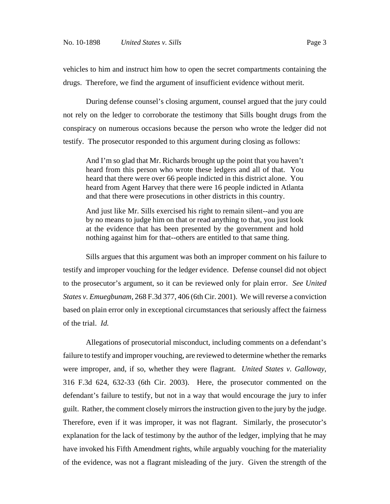vehicles to him and instruct him how to open the secret compartments containing the drugs. Therefore, we find the argument of insufficient evidence without merit.

During defense counsel's closing argument, counsel argued that the jury could not rely on the ledger to corroborate the testimony that Sills bought drugs from the conspiracy on numerous occasions because the person who wrote the ledger did not testify. The prosecutor responded to this argument during closing as follows:

And I'm so glad that Mr. Richards brought up the point that you haven't heard from this person who wrote these ledgers and all of that. You heard that there were over 66 people indicted in this district alone. You heard from Agent Harvey that there were 16 people indicted in Atlanta and that there were prosecutions in other districts in this country.

And just like Mr. Sills exercised his right to remain silent--and you are by no means to judge him on that or read anything to that, you just look at the evidence that has been presented by the government and hold nothing against him for that--others are entitled to that same thing.

Sills argues that this argument was both an improper comment on his failure to testify and improper vouching for the ledger evidence. Defense counsel did not object to the prosecutor's argument, so it can be reviewed only for plain error. *See United States v. Emuegbunam*, 268 F.3d 377, 406 (6th Cir. 2001). We will reverse a conviction based on plain error only in exceptional circumstances that seriously affect the fairness of the trial. *Id.*

Allegations of prosecutorial misconduct, including comments on a defendant's failure to testify and improper vouching, are reviewed to determine whether the remarks were improper, and, if so, whether they were flagrant. *United States v. Galloway*, 316 F.3d 624, 632-33 (6th Cir. 2003). Here, the prosecutor commented on the defendant's failure to testify, but not in a way that would encourage the jury to infer guilt. Rather, the comment closely mirrors the instruction given to the jury by the judge. Therefore, even if it was improper, it was not flagrant. Similarly, the prosecutor's explanation for the lack of testimony by the author of the ledger, implying that he may have invoked his Fifth Amendment rights, while arguably vouching for the materiality of the evidence, was not a flagrant misleading of the jury. Given the strength of the